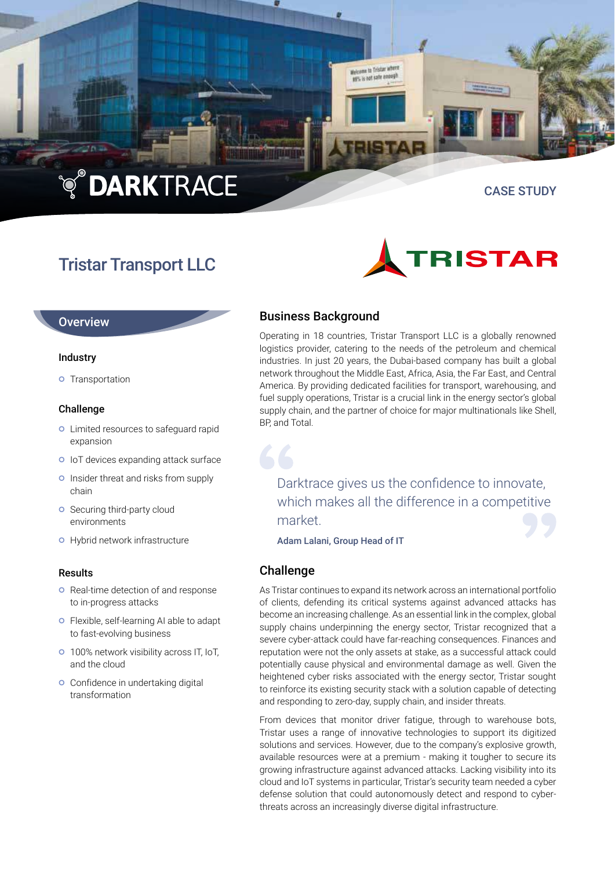# **TO DARKTRACE**

Tristar Transport LLC

# CASE STUDY



#### **Overview**

#### Industry

**o** Transportation

#### Challenge

- **o** Limited resources to safeguard rapid expansion
- o IoT devices expanding attack surface
- o Insider threat and risks from supply chain
- **o** Securing third-party cloud environments
- **O** Hybrid network infrastructure

#### Results

- **o** Real-time detection of and response to in-progress attacks
- Flexible, self-learning AI able to adapt to fast-evolving business
- 100% network visibility across IT, IoT, and the cloud
- **o** Confidence in undertaking digital transformation

# Business Background

Operating in 18 countries, Tristar Transport LLC is a globally renowned logistics provider, catering to the needs of the petroleum and chemical industries. In just 20 years, the Dubai-based company has built a global network throughout the Middle East, Africa, Asia, the Far East, and Central America. By providing dedicated facilities for transport, warehousing, and fuel supply operations, Tristar is a crucial link in the energy sector's global supply chain, and the partner of choice for major multinationals like Shell, BP, and Total.

Melcome to Tristar where **195 is not safe emorph** 

Darktrace gives us the confidence to innovate, which makes all the difference in a competitive market.

Adam Lalani, Group Head of IT

### **Challenge**

As Tristar continues to expand its network across an international portfolio of clients, defending its critical systems against advanced attacks has become an increasing challenge. As an essential link in the complex, global supply chains underpinning the energy sector, Tristar recognized that a severe cyber-attack could have far-reaching consequences. Finances and reputation were not the only assets at stake, as a successful attack could potentially cause physical and environmental damage as well. Given the heightened cyber risks associated with the energy sector, Tristar sought to reinforce its existing security stack with a solution capable of detecting and responding to zero-day, supply chain, and insider threats.

From devices that monitor driver fatigue, through to warehouse bots, Tristar uses a range of innovative technologies to support its digitized solutions and services. However, due to the company's explosive growth, available resources were at a premium - making it tougher to secure its growing infrastructure against advanced attacks. Lacking visibility into its cloud and IoT systems in particular, Tristar's security team needed a cyber defense solution that could autonomously detect and respond to cyberthreats across an increasingly diverse digital infrastructure.